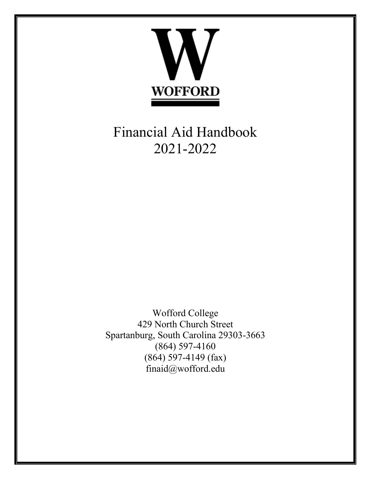

Financial Aid Handbook 2021-2022

Wofford College 429 North Church Street Spartanburg, South Carolina 29303-3663 (864) 597-4160 (864) 597-4149 (fax) finaid@wofford.edu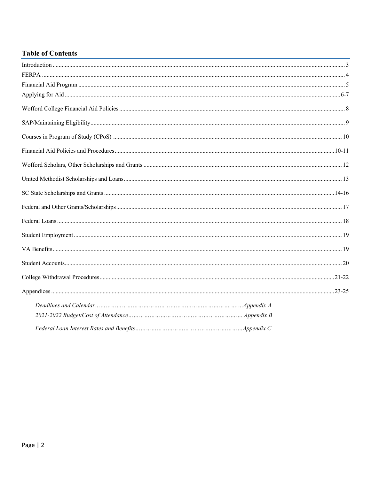## **Table of Contents**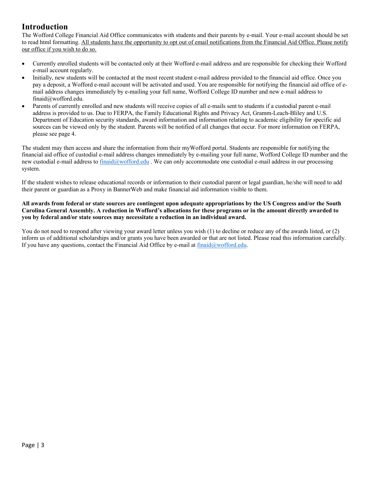# **Introduction**

The Wofford College Financial Aid Office communicates with students and their parents by e-mail. Your e-mail account should be set to read html formatting. All students have the opportunity to opt out of email notifications from the Financial Aid Office. Please notify our office if you wish to do so.

- Currently enrolled students will be contacted only at their Wofford e-mail address and are responsible for checking their Wofford e-mail account regularly.
- Initially, new students will be contacted at the most recent student e-mail address provided to the financial aid office. Once you pay a deposit, a Wofford e-mail account will be activated and used. You are responsible for notifying the financial aid office of email address changes immediately by e-mailing your full name, Wofford College ID number and new e-mail address to finaid@wofford.edu.
- Parents of currently enrolled and new students will receive copies of all e-mails sent to students if a custodial parent e-mail address is provided to us. Due to FERPA, the Family Educational Rights and Privacy Act, Gramm-Leach-Bliley and U.S. Department of Education security standards, award information and information relating to academic eligibility for specific aid sources can be viewed only by the student. Parents will be notified of all changes that occur. For more information on FERPA, please see page 4.

The student may then access and share the information from their myWofford portal. Students are responsible for notifying the financial aid office of custodial e-mail address changes immediately by e-mailing your full name, Wofford College ID number and the new custodial e-mail address to finaid@wofford.edu. We can only accommodate one custodial e-mail address in our processing system.

If the student wishes to release educational records or information to their custodial parent or legal guardian, he/she will need to add their parent or guardian as a Proxy in BannerWeb and make financial aid information visible to them.

## **All awards from federal or state sources are contingent upon adequate appropriations by the US Congress and/or the South Carolina General Assembly. A reduction in Wofford's allocations for these programs or in the amount directly awarded to you by federal and/or state sources may necessitate a reduction in an individual award.**

You do not need to respond after viewing your award letter unless you wish (1) to decline or reduce any of the awards listed, or (2) inform us of additional scholarships and/or grants you have been awarded or that are not listed. Please read this information carefully. If you have any questions, contact the Financial Aid Office by e-mail at  $final@wofford.edu$ .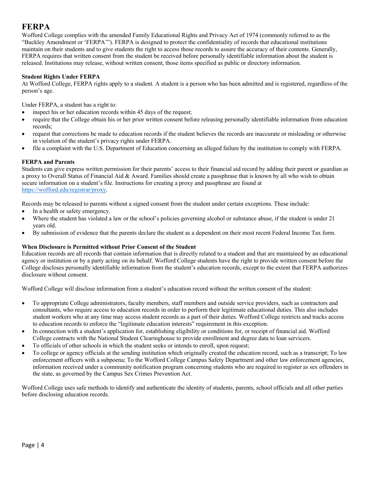# **FERPA**

Wofford College complies with the amended Family Educational Rights and Privacy Act of 1974 (commonly referred to as the "Buckley Amendment or 'FERPA'"). FERPA is designed to protect the confidentiality of records that educational institutions maintain on their students and to give students the right to access those records to assure the accuracy of their contents. Generally, FERPA requires that written consent from the student be received before personally identifiable information about the student is released. Institutions may release, without written consent, those items specified as public or directory information.

## **Student Rights Under FERPA**

At Wofford College, FERPA rights apply to a student. A student is a person who has been admitted and is registered, regardless of the person's age.

Under FERPA, a student has a right to:

- inspect his or her education records within 45 days of the request;
- require that the College obtain his or her prior written consent before releasing personally identifiable information from education records;
- request that corrections be made to education records if the student believes the records are inaccurate or misleading or otherwise in violation of the student's privacy rights under FERPA.
- file a complaint with the U.S. Department of Education concerning an alleged failure by the institution to comply with FERPA.

## **FERPA and Parents**

Students can give express written permission for their parents' access to their financial aid record by adding their parent or guardian as a proxy to Overall Status of Financial Aid & Award. Families should create a passphrase that is known by all who wish to obtain secure information on a student's file. Instructions for creating a proxy and passphrase are found at https://wofford.edu/registrar/proxy.

Records may be released to parents without a signed consent from the student under certain exceptions. These include:

- In a health or safety emergency.
- Where the student has violated a law or the school's policies governing alcohol or substance abuse, if the student is under 21 years old.
- By submission of evidence that the parents declare the student as a dependent on their most recent Federal Income Tax form.

## **When Disclosure is Permitted without Prior Consent of the Student**

Education records are all records that contain information that is directly related to a student and that are maintained by an educational agency or institution or by a party acting on its behalf. Wofford College students have the right to provide written consent before the College discloses personally identifiable information from the student's education records, except to the extent that FERPA authorizes disclosure without consent.

Wofford College will disclose information from a student's education record without the written consent of the student:

- To appropriate College administrators, faculty members, staff members and outside service providers, such as contractors and consultants, who require access to education records in order to perform their legitimate educational duties. This also includes student workers who at any time may access student records as a part of their duties. Wofford College restricts and tracks access to education records to enforce the "legitimate education interests" requirement in this exception.
- In connection with a student's application for, establishing eligibility or conditions for, or receipt of financial aid. Wofford College contracts with the National Student Clearinghouse to provide enrollment and degree data to loan servicers.
- To officials of other schools in which the student seeks or intends to enroll, upon request;
- To college or agency officials at the sending institution which originally created the education record, such as a transcript; To law enforcement officers with a subpoena; To the Wofford College Campus Safety Department and other law enforcement agencies, information received under a community notification program concerning students who are required to register as sex offenders in the state, as governed by the Campus Sex Crimes Prevention Act.

Wofford College uses safe methods to identify and authenticate the identity of students, parents, school officials and all other parties before disclosing education records.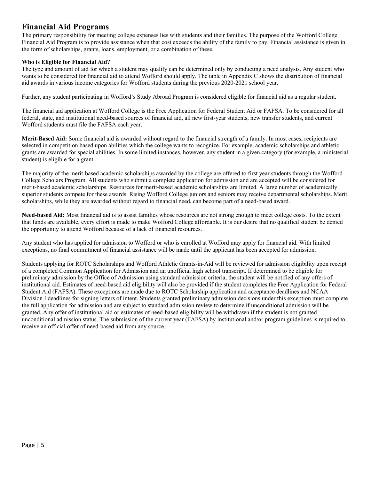# **Financial Aid Programs**

The primary responsibility for meeting college expenses lies with students and their families. The purpose of the Wofford College Financial Aid Program is to provide assistance when that cost exceeds the ability of the family to pay. Financial assistance is given in the form of scholarships, grants, loans, employment, or a combination of these.

## **Who is Eligible for Financial Aid?**

The type and amount of aid for which a student may qualify can be determined only by conducting a need analysis. Any student who wants to be considered for financial aid to attend Wofford should apply. The table in Appendix C shows the distribution of financial aid awards in various income categories for Wofford students during the previous 2020-2021 school year.

Further, any student participating in Wofford's Study Abroad Program is considered eligible for financial aid as a regular student.

The financial aid application at Wofford College is the Free Application for Federal Student Aid or FAFSA. To be considered for all federal, state, and institutional need-based sources of financial aid, all new first-year students, new transfer students, and current Wofford students must file the FAFSA each year.

**Merit-Based Aid:** Some financial aid is awarded without regard to the financial strength of a family. In most cases, recipients are selected in competition based upon abilities which the college wants to recognize. For example, academic scholarships and athletic grants are awarded for special abilities. In some limited instances, however, any student in a given category (for example, a ministerial student) is eligible for a grant.

The majority of the merit-based academic scholarships awarded by the college are offered to first year students through the Wofford College Scholars Program. All students who submit a complete application for admission and are accepted will be considered for merit-based academic scholarships. Resources for merit-based academic scholarships are limited. A large number of academically superior students compete for these awards. Rising Wofford College juniors and seniors may receive departmental scholarships. Merit scholarships, while they are awarded without regard to financial need, can become part of a need-based award.

**Need-based Aid:** Most financial aid is to assist families whose resources are not strong enough to meet college costs. To the extent that funds are available, every effort is made to make Wofford College affordable. It is our desire that no qualified student be denied the opportunity to attend Wofford because of a lack of financial resources.

Any student who has applied for admission to Wofford or who is enrolled at Wofford may apply for financial aid. With limited exceptions, no final commitment of financial assistance will be made until the applicant has been accepted for admission.

Students applying for ROTC Scholarships and Wofford Athletic Grants-in-Aid will be reviewed for admission eligibility upon receipt of a completed Common Application for Admission and an unofficial high school transcript. If determined to be eligible for preliminary admission by the Office of Admission using standard admission criteria, the student will be notified of any offers of institutional aid. Estimates of need-based aid eligibility will also be provided if the student completes the Free Application for Federal Student Aid (FAFSA). These exceptions are made due to ROTC Scholarship application and acceptance deadlines and NCAA Division I deadlines for signing letters of intent. Students granted preliminary admission decisions under this exception must complete the full application for admission and are subject to standard admission review to determine if unconditional admission will be granted. Any offer of institutional aid or estimates of need-based eligibility will be withdrawn if the student is not granted unconditional admission status. The submission of the current year (FAFSA) by institutional and/or program guidelines is required to receive an official offer of need-based aid from any source.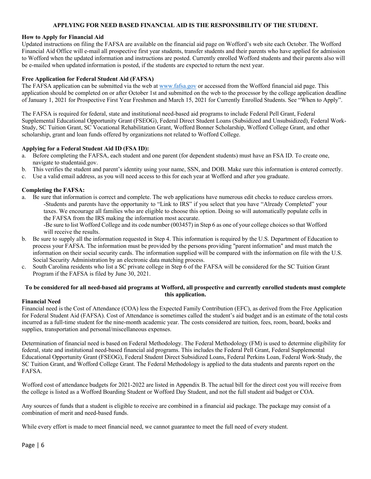## **APPLYING FOR NEED BASED FINANCIAL AID IS THE RESPONSIBILITY OF THE STUDENT.**

### **How to Apply for Financial Aid**

Updated instructions on filing the FAFSA are available on the financial aid page on Wofford's web site each October. The Wofford Financial Aid Office will e-mail all prospective first year students, transfer students and their parents who have applied for admission to Wofford when the updated information and instructions are posted. Currently enrolled Wofford students and their parents also will be e-mailed when updated information is posted, if the students are expected to return the next year.

### **Free Application for Federal Student Aid (FAFSA)**

The FAFSA application can be submitted via the web at www.fafsa.gov or accessed from the Wofford financial aid page. This application should be completed on or after October 1st and submitted on the web to the processor by the college application deadline of January 1, 2021 for Prospective First Year Freshmen and March 15, 2021 for Currently Enrolled Students. See "When to Apply".

The FAFSA is required for federal, state and institutional need-based aid programs to include Federal Pell Grant, Federal Supplemental Educational Opportunity Grant (FSEOG), Federal Direct Student Loans (Subsidized and Unsubsidized), Federal Work-Study, SC Tuition Grant, SC Vocational Rehabilitation Grant, Wofford Bonner Scholarship, Wofford College Grant, and other scholarship, grant and loan funds offered by organizations not related to Wofford College.

### **Applying for a Federal Student Aid ID (FSA ID):**

- a. Before completing the FAFSA, each student and one parent (for dependent students) must have an FSA ID. To create one, navigate to studentaid.gov.
- b. This verifies the student and parent's identity using your name, SSN, and DOB. Make sure this information is entered correctly.
- c. Use a valid email address, as you will need access to this for each year at Wofford and after you graduate.

### **Completing the FAFSA:**

a. Be sure that information is correct and complete. The web applications have numerous edit checks to reduce careless errors. -Students and parents have the opportunity to "Link to IRS" if you select that you have "Already Completed" your taxes. We encourage all families who are eligible to choose this option. Doing so will automatically populate cells in the FAFSA from the IRS making the information most accurate.

-Be sure to list Wofford College and its code number (003457) in Step 6 as one of your college choices so that Wofford will receive the results.

- b. Be sure to supply all the information requested in Step 4. This information is required by the U.S. Department of Education to process your FAFSA. The information must be provided by the persons providing "parent information" and must match the information on their social security cards. The information supplied will be compared with the information on file with the U.S. Social Security Administration by an electronic data matching process.
- c. South Carolina residents who list a SC private college in Step  $\vec{6}$  of the FAFSA will be considered for the SC Tuition Grant Program if the FAFSA is filed by June 30, 2021.

## **To be considered for all need-based aid programs at Wofford, all prospective and currently enrolled students must complete this application.**

#### **Financial Need**

Financial need is the Cost of Attendance (COA) less the Expected Family Contribution (EFC), as derived from the Free Application for Federal Student Aid (FAFSA). Cost of Attendance is sometimes called the student's aid budget and is an estimate of the total costs incurred as a full-time student for the nine-month academic year. The costs considered are tuition, fees, room, board, books and supplies, transportation and personal/miscellaneous expenses.

Determination of financial need is based on Federal Methodology. The Federal Methodology (FM) is used to determine eligibility for federal, state and institutional need-based financial aid programs. This includes the Federal Pell Grant, Federal Supplemental Educational Opportunity Grant (FSEOG), Federal Student Direct Subsidized Loans, Federal Perkins Loan, Federal Work-Study, the SC Tuition Grant, and Wofford College Grant. The Federal Methodology is applied to the data students and parents report on the FAFSA.

Wofford cost of attendance budgets for 2021-2022 are listed in Appendix B. The actual bill for the direct cost you will receive from the college is listed as a Wofford Boarding Student or Wofford Day Student, and not the full student aid budget or COA.

Any sources of funds that a student is eligible to receive are combined in a financial aid package. The package may consist of a combination of merit and need-based funds.

While every effort is made to meet financial need, we cannot guarantee to meet the full need of every student.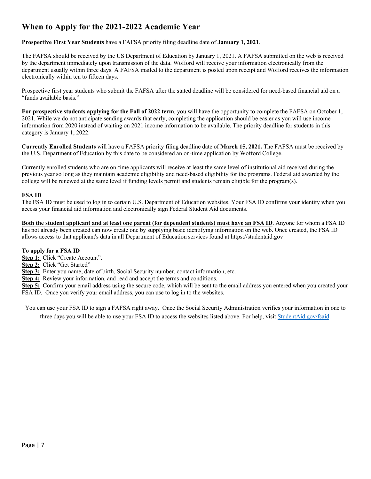# **When to Apply for the 2021-2022 Academic Year**

**Prospective First Year Students** have a FAFSA priority filing deadline date of **January 1, 2021**.

The FAFSA should be received by the US Department of Education by January 1, 2021. A FAFSA submitted on the web is received by the department immediately upon transmission of the data. Wofford will receive your information electronically from the department usually within three days. A FAFSA mailed to the department is posted upon receipt and Wofford receives the information electronically within ten to fifteen days.

Prospective first year students who submit the FAFSA after the stated deadline will be considered for need-based financial aid on a "funds available basis."

**For prospective students applying for the Fall of 2022 term**, you will have the opportunity to complete the FAFSA on October 1, 2021. While we do not anticipate sending awards that early, completing the application should be easier as you will use income information from 2020 instead of waiting on 2021 income information to be available. The priority deadline for students in this category is January 1, 2022.

**Currently Enrolled Students** will have a FAFSA priority filing deadline date of **March 15, 2021.** The FAFSA must be received by the U.S. Department of Education by this date to be considered an on-time application by Wofford College.

Currently enrolled students who are on-time applicants will receive at least the same level of institutional aid received during the previous year so long as they maintain academic eligibility and need-based eligibility for the programs. Federal aid awarded by the college will be renewed at the same level if funding levels permit and students remain eligible for the program(s).

## **FSA ID**

The FSA ID must be used to log in to certain U.S. Department of Education websites. Your FSA ID confirms your identity when you access your financial aid information and electronically sign Federal Student Aid documents.

**Both the student applicant and at least one parent (for dependent students) must have an FSA ID**. Anyone for whom a FSA ID has not already been created can now create one by supplying basic identifying information on the web. Once created, the FSA ID allows access to that applicant's data in all Department of Education services found at https://studentaid.gov

## **To apply for a FSA ID**

**Step 1:** Click "Create Account".

**Step 2:** Click "Get Started"

**Step 3:** Enter you name, date of birth, Social Security number, contact information, etc.

**Step 4:** Review your information, and read and accept the terms and conditions.

**Step 5:** Confirm your email address using the secure code, which will be sent to the email address you entered when you created your FSA ID. Once you verify your email address, you can use to log in to the websites.

You can use your FSA ID to sign a FAFSA right away. Once the Social Security Administration verifies your information in one to three days you will be able to use your FSA ID to access the websites listed above. For help, visit StudentAid.gov/fsaid.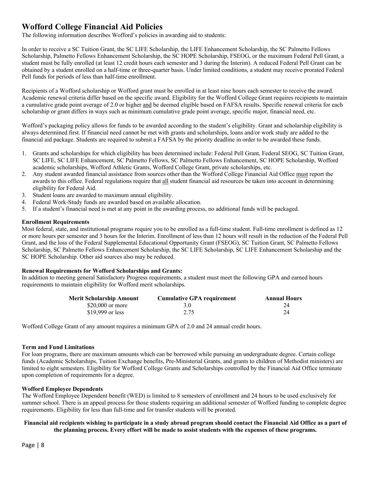# **Wofford College Financial Aid Policies**

The following information describes Wofford's policies in awarding aid to students:

In order to receive a SC Tuition Grant, the SC LIFE Scholarship, the LIFE Enhancement Scholarship, the SC Palmetto Fellows Scholarship, Palmetto Fellows Enhancement Scholarship, the SC HOPE Scholarship, FSEOG, or the maximum Federal Pell Grant, a student must be fully enrolled (at least 12 credit hours each semester and 3 during the Interim). A reduced Federal Pell Grant can be obtained by a student enrolled on a half-time or three-quarter basis. Under limited conditions, a student may receive prorated Federal Pell funds for periods of less than half-time enrollment.

Recipients of a Wofford scholarship or Wofford grant must be enrolled in at least nine hours each semester to receive the award. Academic renewal criteria differ based on the specific award. Eligibility for the Wofford College Grant requires recipients to maintain a cumulative grade point average of 2.0 or higher and be deemed eligible based on FAFSA results. Specific renewal criteria for each scholarship or grant differs in ways such as minimum cumulative grade point average, specific major, financial need, etc.

Wofford's packaging policy allows for funds to be awarded according to the student's eligibility. Grant and scholarship eligibility is always determined first. If financial need cannot be met with grants and scholarships, loans and/or work study are added to the financial aid package. Students are required to submit a FAFSA by the priority deadline in order to be awarded these funds.

- 1. Grants and scholarships for which eligibility has been determined include: Federal Pell Grant, Federal SEOG, SC Tuition Grant, SC LIFE, SC LIFE Enhancement, SC Palmetto Fellows, SC Palmetto Fellows Enhancement, SC HOPE Scholarship, Wofford academic scholarships, Wofford Athletic Grants, Wofford College Grant, private scholarships, etc.
- 2. Any student awarded financial assistance from sources other than the Wofford College Financial Aid Office must report the awards to this office. Federal regulations require that all student financial aid resources be taken into account in determining eligibility for Federal Aid.
- 3. Student loans are awarded to maximum annual eligibility.
- 4. Federal Work-Study funds are awarded based on available allocation.
- 5. If a student's financial need is met at any point in the awarding process, no additional funds will be packaged.

## **Enrollment Requirements**

Most federal, state, and institutional programs require you to be enrolled as a full-time student. Full-time enrollment is defined as 12 or more hours per semester and 3 hours for the Interim. Enrollment of less than 12 hours will result in the reduction of the Federal Pell Grant, and the loss of the Federal Supplemental Educational Opportunity Grant (FSEOG), SC Tuition Grant, SC Palmetto Fellows Scholarship, SC Palmetto Fellows Enhancement Scholarship, the SC LIFE Scholarship, SC LIFE Enhancement Scholarship and the SC HOPE Scholarship. Other aid sources also may be reduced.

## **Renewal Requirements for Wofford Scholarships and Grants:**

In addition to meeting general Satisfactory Progress requirements, a student must meet the following GPA and earned hours requirements to maintain eligibility for Wofford merit scholarships.

| <b>Merit Scholarship Amount</b> | <b>Cumulative GPA requirement</b> | <b>Annual Hours</b> |
|---------------------------------|-----------------------------------|---------------------|
| $$20,000$ or more               | 3.0                               | 24                  |
| $$19.999$ or less               | 2.75                              | 24                  |

Wofford College Grant of any amount requires a minimum GPA of 2.0 and 24 annual credit hours.

## **Term and Fund Limitations**

For loan programs, there are maximum amounts which can be borrowed while pursuing an undergraduate degree. Certain college funds (Academic Scholarships, Tuition Exchange benefits, Pre-Ministerial Grants, and grants to children of Methodist ministers) are limited to eight semesters. Eligibility for Wofford College Grants and Scholarships controlled by the Financial Aid Office terminate upon completion of requirements for a degree.

## **Wofford Employee Dependents**

The Wofford Employee Dependent benefit (WED) is limited to 8 semesters of enrollment and 24 hours to be used exclusively for summer school. There is an appeal process for those students requiring an additional semester of Wofford funding to complete degree requirements. Eligibility for less than full-time and for transfer students will be prorated.

## **Financial aid recipients wishing to participate in a study abroad program should contact the Financial Aid Office as a part of the planning process. Every effort will be made to assist students with the expenses of these programs.**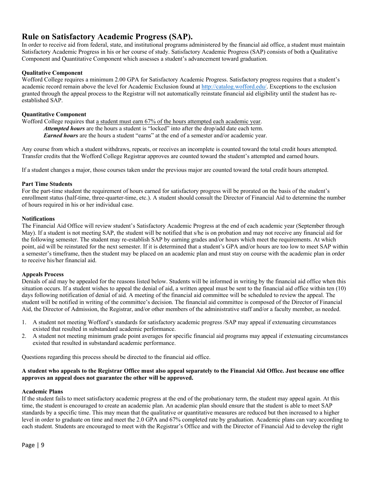## **Rule on Satisfactory Academic Progress (SAP).**

In order to receive aid from federal, state, and institutional programs administered by the financial aid office, a student must maintain Satisfactory Academic Progress in his or her course of study. Satisfactory Academic Progress (SAP) consists of both a Qualitative Component and Quantitative Component which assesses a student's advancement toward graduation.

## **Qualitative Component**

Wofford College requires a minimum 2.00 GPA for Satisfactory Academic Progress. Satisfactory progress requires that a student's academic record remain above the level for Academic Exclusion found at http://catalog.wofford.edu/. Exceptions to the exclusion granted through the appeal process to the Registrar will not automatically reinstate financial aid eligibility until the student has reestablished SAP.

## **Quantitative Component**

Wofford College requires that a student must earn 67% of the hours attempted each academic year. *Attempted hours* are the hours a student is "locked" into after the drop/add date each term. *Earned hours* are the hours a student "earns" at the end of a semester and/or academic year.

Any course from which a student withdraws, repeats, or receives an incomplete is counted toward the total credit hours attempted. Transfer credits that the Wofford College Registrar approves are counted toward the student's attempted and earned hours.

If a student changes a major, those courses taken under the previous major are counted toward the total credit hours attempted.

## **Part Time Students**

For the part-time student the requirement of hours earned for satisfactory progress will be prorated on the basis of the student's enrollment status (half-time, three-quarter-time, etc.). A student should consult the Director of Financial Aid to determine the number of hours required in his or her individual case.

### **Notifications**

The Financial Aid Office will review student's Satisfactory Academic Progress at the end of each academic year (September through May). If a student is not meeting SAP, the student will be notified that s/he is on probation and may not receive any financial aid for the following semester. The student may re-establish SAP by earning grades and/or hours which meet the requirements. At which point, aid will be reinstated for the next semester. If it is determined that a student's GPA and/or hours are too low to meet SAP within a semester's timeframe, then the student may be placed on an academic plan and must stay on course with the academic plan in order to receive his/her financial aid.

## **Appeals Process**

Denials of aid may be appealed for the reasons listed below. Students will be informed in writing by the financial aid office when this situation occurs. If a student wishes to appeal the denial of aid, a written appeal must be sent to the financial aid office within ten (10) days following notification of denial of aid. A meeting of the financial aid committee will be scheduled to review the appeal. The student will be notified in writing of the committee's decision. The financial aid committee is composed of the Director of Financial Aid, the Director of Admission, the Registrar, and/or other members of the administrative staff and/or a faculty member, as needed.

- 1. A student not meeting Wofford's standards for satisfactory academic progress /SAP may appeal if extenuating circumstances existed that resulted in substandard academic performance.
- 2. A student not meeting minimum grade point averages for specific financial aid programs may appeal if extenuating circumstances existed that resulted in substandard academic performance.

Questions regarding this process should be directed to the financial aid office.

## **A student who appeals to the Registrar Office must also appeal separately to the Financial Aid Office. Just because one office approves an appeal does not guarantee the other will be approved.**

#### **Academic Plans**

If the student fails to meet satisfactory academic progress at the end of the probationary term, the student may appeal again. At this time, the student is encouraged to create an academic plan. An academic plan should ensure that the student is able to meet SAP standards by a specific time. This may mean that the qualitative or quantitative measures are reduced but then increased to a higher level in order to graduate on time and meet the 2.0 GPA and 67% completed rate by graduation. Academic plans can vary according to each student. Students are encouraged to meet with the Registrar's Office and with the Director of Financial Aid to develop the right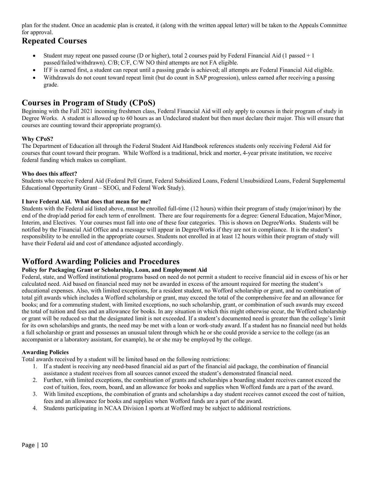plan for the student. Once an academic plan is created, it (along with the written appeal letter) will be taken to the Appeals Committee for approval.

# **Repeated Courses**

- Student may repeat one passed course (D or higher), total 2 courses paid by Federal Financial Aid (1 passed + 1 passed/failed/withdrawn). C/B; C/F, C/W NO third attempts are not FA eligible.
- If F is earned first, a student can repeat until a passing grade is achieved; all attempts are Federal Financial Aid eligible.
- Withdrawals do not count toward repeat limit (but do count in SAP progression), unless earned after receiving a passing grade.

# **Courses in Program of Study (CPoS)**

Beginning with the Fall 2021 incoming freshmen class, Federal Financial Aid will only apply to courses in their program of study in Degree Works. A student is allowed up to 60 hours as an Undeclared student but then must declare their major. This will ensure that courses are counting toward their appropriate program(s).

## **Why CPoS?**

The Department of Education all through the Federal Student Aid Handbook references students only receiving Federal Aid for courses that count toward their program. While Wofford is a traditional, brick and morter, 4-year private institution, we receive federal funding which makes us compliant.

## **Who does this affect?**

Students who receive Federal Aid (Federal Pell Grant, Federal Subsidized Loans, Federal Unsubsidized Loans, Federal Supplemental Educational Opportunity Grant – SEOG, and Federal Work Study).

## **I have Federal Aid. What does that mean for me?**

Students with the Federal aid listed above, must be enrolled full-time (12 hours) within their program of study (major/minor) by the end of the drop/add period for each term of enrollment. There are four requirements for a degree: General Education, Major/Minor, Interim, and Electives. Your courses must fall into one of these four categories. This is shown on DegreeWorks. Students will be notified by the Financial Aid Office and a message will appear in DegreeWorks if they are not in compliance. It is the student's responsibility to be enrolled in the appropriate courses. Students not enrolled in at least 12 hours within their program of study will have their Federal aid and cost of attendance adjusted accordingly.

# **Wofford Awarding Policies and Procedures**

## **Policy for Packaging Grant or Scholarship, Loan, and Employment Aid**

Federal, state, and Wofford institutional programs based on need do not permit a student to receive financial aid in excess of his or her calculated need. Aid based on financial need may not be awarded in excess of the amount required for meeting the student's educational expenses. Also, with limited exceptions, for a resident student, no Wofford scholarship or grant, and no combination of total gift awards which includes a Wofford scholarship or grant, may exceed the total of the comprehensive fee and an allowance for books; and for a commuting student, with limited exceptions, no such scholarship, grant, or combination of such awards may exceed the total of tuition and fees and an allowance for books. In any situation in which this might otherwise occur, the Wofford scholarship or grant will be reduced so that the designated limit is not exceeded. If a student's documented need is greater than the college's limit for its own scholarships and grants, the need may be met with a loan or work-study award. If a student has no financial need but holds a full scholarship or grant and possesses an unusual talent through which he or she could provide a service to the college (as an accompanist or a laboratory assistant, for example), he or she may be employed by the college.

## **Awarding Policies**

Total awards received by a student will be limited based on the following restrictions:

- 1. If a student is receiving any need-based financial aid as part of the financial aid package, the combination of financial assistance a student receives from all sources cannot exceed the student's demonstrated financial need.
- 2. Further, with limited exceptions, the combination of grants and scholarships a boarding student receives cannot exceed the cost of tuition, fees, room, board, and an allowance for books and supplies when Wofford funds are a part of the award.
- 3. With limited exceptions, the combination of grants and scholarships a day student receives cannot exceed the cost of tuition, fees and an allowance for books and supplies when Wofford funds are a part of the award.
- 4. Students participating in NCAA Division I sports at Wofford may be subject to additional restrictions.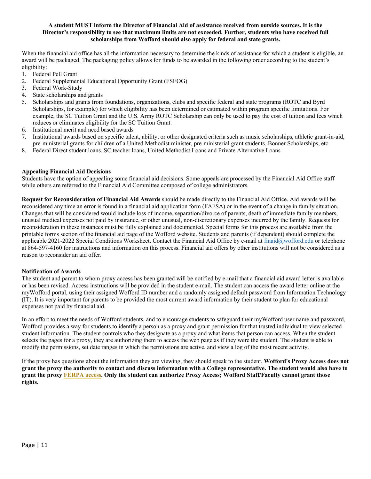## **A student MUST inform the Director of Financial Aid of assistance received from outside sources. It is the Director's responsibility to see that maximum limits are not exceeded. Further, students who have received full scholarships from Wofford should also apply for federal and state grants.**

When the financial aid office has all the information necessary to determine the kinds of assistance for which a student is eligible, an award will be packaged. The packaging policy allows for funds to be awarded in the following order according to the student's eligibility:

- 1. Federal Pell Grant
- 2. Federal Supplemental Educational Opportunity Grant (FSEOG)
- 3. Federal Work-Study
- 4. State scholarships and grants
- 5. Scholarships and grants from foundations, organizations, clubs and specific federal and state programs (ROTC and Byrd Scholarships, for example) for which eligibility has been determined or estimated within program specific limitations. For example, the SC Tuition Grant and the U.S. Army ROTC Scholarship can only be used to pay the cost of tuition and fees which reduces or eliminates eligibility for the SC Tuition Grant.
- 6. Institutional merit and need based awards
- 7. Institutional awards based on specific talent, ability, or other designated criteria such as music scholarships, athletic grant-in-aid, pre-ministerial grants for children of a United Methodist minister, pre-ministerial grant students, Bonner Scholarships, etc.
- 8. Federal Direct student loans, SC teacher loans, United Methodist Loans and Private Alternative Loans

## **Appealing Financial Aid Decisions**

Students have the option of appealing some financial aid decisions. Some appeals are processed by the Financial Aid Office staff while others are referred to the Financial Aid Committee composed of college administrators.

**Request for Reconsideration of Financial Aid Awards** should be made directly to the Financial Aid Office. Aid awards will be reconsidered any time an error is found in a financial aid application form (FAFSA) or in the event of a change in family situation. Changes that will be considered would include loss of income, separation/divorce of parents, death of immediate family members, unusual medical expenses not paid by insurance, or other unusual, non-discretionary expenses incurred by the family. Requests for reconsideration in these instances must be fully explained and documented. Special forms for this process are available from the printable forms section of the financial aid page of the Wofford website. Students and parents (if dependent) should complete the applicable 2021-2022 Special Conditions Worksheet. Contact the Financial Aid Office by e-mail at finaid@wofford.edu or telephone at 864-597-4160 for instructions and information on this process. Financial aid offers by other institutions will not be considered as a reason to reconsider an aid offer.

## **Notification of Awards**

The student and parent to whom proxy access has been granted will be notified by e-mail that a financial aid award letter is available or has been revised. Access instructions will be provided in the student e-mail. The student can access the award letter online at the myWofford portal, using their assigned Wofford ID number and a randomly assigned default password from Information Technology (IT). It is very important for parents to be provided the most current award information by their student to plan for educational expenses not paid by financial aid.

In an effort to meet the needs of Wofford students, and to encourage students to safeguard their myWofford user name and password, Wofford provides a way for students to identify a person as a proxy and grant permission for that trusted individual to view selected student information. The student controls who they designate as a proxy and what items that person can access. When the student selects the pages for a proxy, they are authorizing them to access the web page as if they were the student. The student is able to modify the permissions, set date ranges in which the permissions are active, and view a log of the most recent activity.

If the proxy has questions about the information they are viewing, they should speak to the student. **Wofford's Proxy Access does not grant the proxy the authority to contact and discuss information with a College representative. The student would also have to grant the proxy FERPA access. Only the student can authorize Proxy Access; Wofford Staff/Faculty cannot grant those rights.**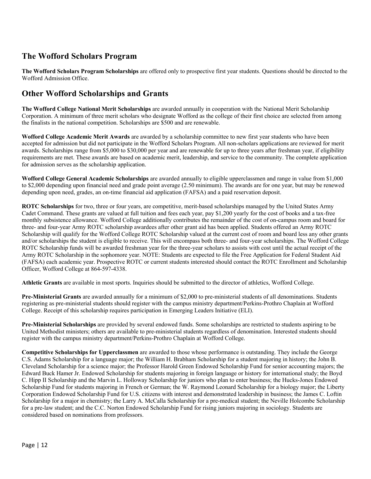# **The Wofford Scholars Program**

**The Wofford Scholars Program Scholarships** are offered only to prospective first year students. Questions should be directed to the Wofford Admission Office.

# **Other Wofford Scholarships and Grants**

**The Wofford College National Merit Scholarships** are awarded annually in cooperation with the National Merit Scholarship Corporation. A minimum of three merit scholars who designate Wofford as the college of their first choice are selected from among the finalists in the national competition. Scholarships are \$500 and are renewable.

**Wofford College Academic Merit Awards** are awarded by a scholarship committee to new first year students who have been accepted for admission but did not participate in the Wofford Scholars Program. All non-scholars applications are reviewed for merit awards. Scholarships range from \$5,000 to \$30,000 per year and are renewable for up to three years after freshman year, if eligibility requirements are met. These awards are based on academic merit, leadership, and service to the community. The complete application for admission serves as the scholarship application.

**Wofford College General Academic Scholarships** are awarded annually to eligible upperclassmen and range in value from \$1,000 to \$2,000 depending upon financial need and grade point average (2.50 minimum). The awards are for one year, but may be renewed depending upon need, grades, an on-time financial aid application (FAFSA) and a paid reservation deposit.

**ROTC Scholarships** for two, three or four years, are competitive, merit-based scholarships managed by the United States Army Cadet Command. These grants are valued at full tuition and fees each year, pay \$1,200 yearly for the cost of books and a tax-free monthly subsistence allowance. Wofford College additionally contributes the remainder of the cost of on-campus room and board for three- and four-year Army ROTC scholarship awardees after other grant aid has been applied. Students offered an Army ROTC Scholarship will qualify for the Wofford College ROTC Scholarship valued at the current cost of room and board less any other grants and/or scholarships the student is eligible to receive. This will encompass both three- and four-year scholarships. The Wofford College ROTC Scholarship funds will be awarded freshman year for the three-year scholars to assists with cost until the actual receipt of the Army ROTC Scholarship in the sophomore year. NOTE: Students are expected to file the Free Application for Federal Student Aid (FAFSA) each academic year. Prospective ROTC or current students interested should contact the ROTC Enrollment and Scholarship Officer, Wofford College at 864-597-4338.

**Athletic Grants** are available in most sports. Inquiries should be submitted to the director of athletics, Wofford College.

**Pre-Ministerial Grants** are awarded annually for a minimum of \$2,000 to pre-ministerial students of all denominations. Students registering as pre-ministerial students should register with the campus ministry department/Perkins-Prothro Chaplain at Wofford College. Receipt of this scholarship requires participation in Emerging Leaders Initiative (ELI).

**Pre-Ministerial Scholarships** are provided by several endowed funds. Some scholarships are restricted to students aspiring to be United Methodist ministers; others are available to pre-ministerial students regardless of denomination. Interested students should register with the campus ministry department/Perkins-Prothro Chaplain at Wofford College.

**Competitive Scholarships for Upperclassmen** are awarded to those whose performance is outstanding. They include the George C.S. Adams Scholarship for a language major; the William H. Brabham Scholarship for a student majoring in history; the John B. Cleveland Scholarship for a science major; the Professor Harold Green Endowed Scholarship Fund for senior accounting majors; the Edward Buck Hamer Jr. Endowed Scholarship for students majoring in foreign language or history for international study; the Boyd C. Hipp II Scholarship and the Marvin L. Holloway Scholarship for juniors who plan to enter business; the Hucks-Jones Endowed Scholarship Fund for students majoring in French or German; the W. Raymond Leonard Scholarship for a biology major; the Liberty Corporation Endowed Scholarship Fund for U.S. citizens with interest and demonstrated leadership in business; the James C. Loftin Scholarship for a major in chemistry; the Larry A. McCalla Scholarship for a pre-medical student; the Neville Holcombe Scholarship for a pre-law student; and the C.C. Norton Endowed Scholarship Fund for rising juniors majoring in sociology. Students are considered based on nominations from professors.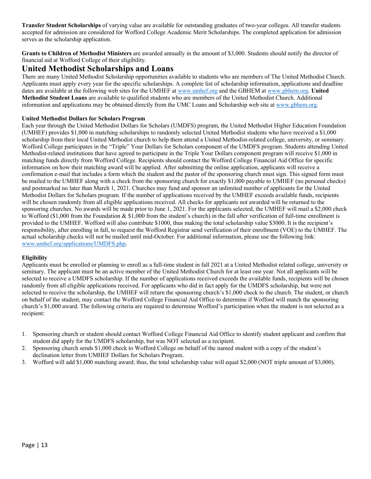**Transfer Student Scholarships** of varying value are available for outstanding graduates of two-year colleges. All transfer students accepted for admission are considered for Wofford College Academic Merit Scholarships. The completed application for admission serves as the scholarship application.

**Grants to Children of Methodist Ministers** are awarded annually in the amount of \$3,000. Students should notify the director of financial aid at Wofford College of their eligibility.

## **United Methodist Scholarships and Loans**

There are many United Methodist Scholarship opportunities available to students who are members of The United Methodist Church. Applicants must apply every year for the specific scholarships. A complete list of scholarship information, applications and deadline dates are available at the following web sites for the UMHEF at www.umhef.org and the GBHEM at www.gbhem.org. **United Methodist Student Loans** are available to qualified students who are members of the United Methodist Church. Additional information and applications may be obtained directly from the UMC Loans and Scholarship web site at www.gbhem.org.

## **United Methodist Dollars for Scholars Program**

Each year through the United Methodist Dollars for Scholars (UMDFS) program, the United Methodist Higher Education Foundation (UMHEF) provides \$1,000 in matching scholarships to randomly selected United Methodist students who have received a \$1,000 scholarship from their local United Methodist church to help them attend a United Methodist-related college, university, or seminary. Wofford College participates in the "Triple" Your Dollars for Scholars component of the UMDFS program. Students attending United Methodist-related institutions that have agreed to participate in the Triple Your Dollars component program will receive \$1,000 in matching funds directly from Wofford College. Recipients should contact the Wofford College Financial Aid Office for specific information on how their matching award will be applied. After submitting the online application, applicants will receive a confirmation e-mail that includes a form which the student and the pastor of the sponsoring church must sign. This signed form must be mailed to the UMHEF along with a check from the sponsoring church for exactly \$1,000 payable to UMHEF (no personal checks) and postmarked no later than March 1, 2021. Churches may fund and sponsor an unlimited number of applicants for the United Methodist Dollars for Scholars program. If the number of applications received by the UMHEF exceeds available funds, recipients will be chosen randomly from all eligible applications received. All checks for applicants not awarded will be returned to the sponsoring churches. No awards will be made prior to June 1, 2021. For the applicants selected, the UMHEF will mail a \$2,000 check to Wofford (\$1,000 from the Foundation & \$1,000 from the student's church) in the fall after verification of full-time enrollment is provided to the UMHEF. Wofford will also contribute \$1000, thus making the total scholarship value \$3000. It is the recipient's responsibility, after enrolling in fall, to request the Wofford Registrar send verification of their enrollment (VOE) to the UMHEF. The actual scholarship checks will not be mailed until mid-October. For additional information, please use the following link: www.umhef.org/applications/UMDFS.php.

## **Eligibility**

Applicants must be enrolled or planning to enroll as a full-time student in fall 2021 at a United Methodist related college, university or seminary. The applicant must be an active member of the United Methodist Church for at least one year. Not all applicants will be selected to receive a UMDFS scholarship. If the number of applications received exceeds the available funds, recipients will be chosen randomly from all eligible applications received. For applicants who did in fact apply for the UMDFS scholarship, but were not selected to receive the scholarship, the UMHEF will return the sponsoring church's \$1,000 check to the church. The student, or church on behalf of the student, may contact the Wofford College Financial Aid Office to determine if Wofford will match the sponsoring church's \$1,000 award. The following criteria are required to determine Wofford's participation when the student is not selected as a recipient:

- 1. Sponsoring church or student should contact Wofford College Financial Aid Office to identify student applicant and confirm that student did apply for the UMDFS scholarship, but was NOT selected as a recipient.
- 2. Sponsoring church sends \$1,000 check to Wofford College on behalf of the named student with a copy of the student's declination letter from UMHEF Dollars for Scholars Program.
- 3. Wofford will add \$1,000 matching award; thus, the total scholarship value will equal \$2,000 (NOT triple amount of \$3,000).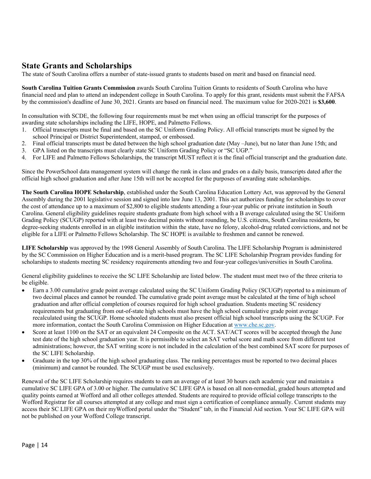# **State Grants and Scholarships**

The state of South Carolina offers a number of state-issued grants to students based on merit and based on financial need.

**South Carolina Tuition Grants Commission** awards South Carolina Tuition Grants to residents of South Carolina who have financial need and plan to attend an independent college in South Carolina. To apply for this grant, residents must submit the FAFSA by the commission's deadline of June 30, 2021. Grants are based on financial need. The maximum value for 2020-2021 is **\$3,600**.

In consultation with SCDE, the following four requirements must be met when using an official transcript for the purposes of awarding state scholarships including the LIFE, HOPE, and Palmetto Fellows.

- 1. Official transcripts must be final and based on the SC Uniform Grading Policy. All official transcripts must be signed by the school Principal or District Superintendent, stamped, or embossed.
- 2. Final official transcripts must be dated between the high school graduation date (May –June), but no later than June 15th; and
- 3. GPA listed on the transcripts must clearly state SC Uniform Grading Policy or "SC UGP."
- 4. For LIFE and Palmetto Fellows Scholarships, the transcript MUST reflect it is the final official transcript and the graduation date.

Since the PowerSchool data management system will change the rank in class and grades on a daily basis, transcripts dated after the official high school graduation and after June 15th will not be accepted for the purposes of awarding state scholarships.

**The South Carolina HOPE Scholarship**, established under the South Carolina Education Lottery Act, was approved by the General Assembly during the 2001 legislative session and signed into law June 13, 2001. This act authorizes funding for scholarships to cover the cost of attendance up to a maximum of \$2,800 to eligible students attending a four-year public or private institution in South Carolina. General eligibility guidelines require students graduate from high school with a B average calculated using the SC Uniform Grading Policy (SCUGP) reported with at least two decimal points without rounding, be U.S. citizens, South Carolina residents, be degree-seeking students enrolled in an eligible institution within the state, have no felony, alcohol-drug related convictions, and not be eligible for a LIFE or Palmetto Fellows Scholarship. The SC HOPE is available to freshmen and cannot be renewed.

**LIFE Scholarship** was approved by the 1998 General Assembly of South Carolina. The LIFE Scholarship Program is administered by the SC Commission on Higher Education and is a merit-based program. The SC LIFE Scholarship Program provides funding for scholarships to students meeting SC residency requirements attending two and four-year colleges/universities in South Carolina.

General eligibility guidelines to receive the SC LIFE Scholarship are listed below. The student must meet two of the three criteria to be eligible.

- Earn a 3.00 cumulative grade point average calculated using the SC Uniform Grading Policy (SCUGP) reported to a minimum of two decimal places and cannot be rounded. The cumulative grade point average must be calculated at the time of high school graduation and after official completion of courses required for high school graduation. Students meeting SC residency requirements but graduating from out-of-state high schools must have the high school cumulative grade point average recalculated using the SCUGP. Home schooled students must also present official high school transcripts using the SCUGP. For more information, contact the South Carolina Commission on Higher Education at www.che.sc.gov.
- Score at least 1100 on the SAT or an equivalent 24 Composite on the ACT. SAT/ACT scores will be accepted through the June test date of the high school graduation year. It is permissible to select an SAT verbal score and math score from different test administrations; however, the SAT writing score is not included in the calculation of the best combined SAT score for purposes of the SC LIFE Scholarship.
- Graduate in the top 30% of the high school graduating class. The ranking percentages must be reported to two decimal places (minimum) and cannot be rounded. The SCUGP must be used exclusively.

Renewal of the SC LIFE Scholarship requires students to earn an average of at least 30 hours each academic year and maintain a cumulative SC LIFE GPA of 3.00 or higher. The cumulative SC LIFE GPA is based on all non-remedial, graded hours attempted and quality points earned at Wofford and all other colleges attended. Students are required to provide official college transcripts to the Wofford Registrar for all courses attempted at any college and must sign a certification of compliance annually. Current students may access their SC LIFE GPA on their myWofford portal under the "Student" tab, in the Financial Aid section. Your SC LIFE GPA will not be published on your Wofford College transcript.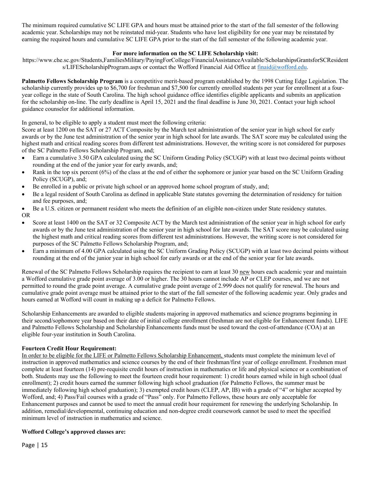The minimum required cumulative SC LIFE GPA and hours must be attained prior to the start of the fall semester of the following academic year. Scholarships may not be reinstated mid-year. Students who have lost eligibility for one year may be reinstated by earning the required hours and cumulative SC LIFE GPA prior to the start of the fall semester of the following academic year.

## **For more information on the SC LIFE Scholarship visit:**

https://www.che.sc.gov/Students,FamiliesMilitary/PayingForCollege/FinancialAssistanceAvailable/ScholarshipsGrantsforSCResident s/LIFEScholarshipProgram.aspx or contact the Wofford Financial Aid Office at finaid@wofford.edu.

**Palmetto Fellows Scholarship Program** is a competitive merit-based program established by the 1998 Cutting Edge Legislation. The scholarship currently provides up to \$6,700 for freshman and \$7,500 for currently enrolled students per year for enrollment at a fouryear college in the state of South Carolina. The high school guidance office identifies eligible applicants and submits an application for the scholarship on-line. The early deadline is April 15, 2021 and the final deadline is June 30, 2021. Contact your high school guidance counselor for additional information.

In general, to be eligible to apply a student must meet the following criteria:

Score at least 1200 on the SAT or 27 ACT Composite by the March test administration of the senior year in high school for early awards or by the June test administration of the senior year in high school for late awards. The SAT score may be calculated using the highest math and critical reading scores from different test administrations. However, the writing score is not considered for purposes of the SC Palmetto Fellows Scholarship Program, and;

- Earn a cumulative 3.50 GPA calculated using the SC Uniform Grading Policy (SCUGP) with at least two decimal points without rounding at the end of the junior year for early awards, and;
- Rank in the top six percent (6%) of the class at the end of either the sophomore or junior year based on the SC Uniform Grading Policy (SCUGP), and;
- Be enrolled in a public or private high school or an approved home school program of study, and;
- Be a legal resident of South Carolina as defined in applicable State statutes governing the determination of residency for tuition and fee purposes, and;
- Be a U.S. citizen or permanent resident who meets the definition of an eligible non-citizen under State residency statutes. OR
- Score at least 1400 on the SAT or 32 Composite ACT by the March test administration of the senior year in high school for early awards or by the June test administration of the senior year in high school for late awards. The SAT score may be calculated using the highest math and critical reading scores from different test administrations. However, the writing score is not considered for purposes of the SC Palmetto Fellows Scholarship Program, and;
- Earn a minimum of 4.00 GPA calculated using the SC Uniform Grading Policy (SCUGP) with at least two decimal points without rounding at the end of the junior year in high school for early awards or at the end of the senior year for late awards.

Renewal of the SC Palmetto Fellows Scholarship requires the recipient to earn at least 30 new hours each academic year and maintain a Wofford cumulative grade point average of 3.00 or higher. The 30 hours cannot include AP or CLEP courses, and we are not permitted to round the grade point average. A cumulative grade point average of 2.999 does not qualify for renewal. The hours and cumulative grade point average must be attained prior to the start of the fall semester of the following academic year. Only grades and hours earned at Wofford will count in making up a deficit for Palmetto Fellows.

Scholarship Enhancements are awarded to eligible students majoring in approved mathematics and science programs beginning in their second/sophomore year based on their date of initial college enrollment (freshman are not eligible for Enhancement funds). LIFE and Palmetto Fellows Scholarship and Scholarship Enhancements funds must be used toward the cost-of-attendance (COA) at an eligible four-year institution in South Carolina.

## **Fourteen Credit Hour Requirement:**

In order to be eligible for the LIFE or Palmetto Fellows Scholarship Enhancement, students must complete the minimum level of instruction in approved mathematics and science courses by the end of their freshman/first year of college enrollment. Freshmen must complete at least fourteen (14) pre-requisite credit hours of instruction in mathematics or life and physical science or a combination of both. Students may use the following to meet the fourteen credit hour requirement: 1) credit hours earned while in high school (dual enrollment); 2) credit hours earned the summer following high school graduation (for Palmetto Fellows, the summer must be immediately following high school graduation); 3) exempted credit hours (CLEP, AP, IB) with a grade of "4" or higher accepted by Wofford, and; 4) Pass/Fail courses with a grade of "Pass" only. For Palmetto Fellows, these hours are only acceptable for Enhancement purposes and cannot be used to meet the annual credit hour requirement for renewing the underlying Scholarship. In addition, remedial/developmental, continuing education and non-degree credit coursework cannot be used to meet the specified minimum level of instruction in mathematics and science.

## **Wofford College's approved classes are:**

Page | 15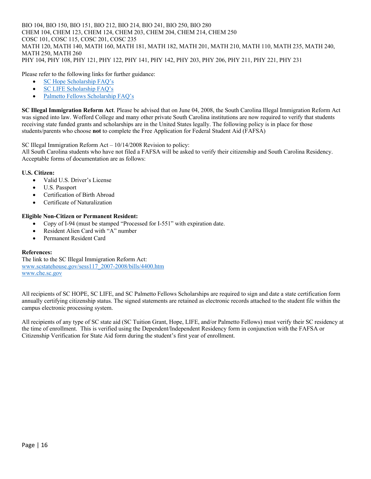BIO 104, BIO 150, BIO 151, BIO 212, BIO 214, BIO 241, BIO 250, BIO 280 CHEM 104, CHEM 123, CHEM 124, CHEM 203, CHEM 204, CHEM 214, CHEM 250 COSC 101, COSC 115, COSC 201, COSC 235 MATH 120, MATH 140, MATH 160, MATH 181, MATH 182, MATH 201, MATH 210, MATH 110, MATH 235, MATH 240, MATH 250, MATH 260 PHY 104, PHY 108, PHY 121, PHY 122, PHY 141, PHY 142, PHY 203, PHY 206, PHY 211, PHY 221, PHY 231

Please refer to the following links for further guidance:

- SC Hope Scholarship FAQ's
- SC LIFE Scholarship FAQ's
- Palmetto Fellows Scholarship FAQ's

**SC Illegal Immigration Reform Act**. Please be advised that on June 04, 2008, the South Carolina Illegal Immigration Reform Act was signed into law. Wofford College and many other private South Carolina institutions are now required to verify that students receiving state funded grants and scholarships are in the United States legally. The following policy is in place for those students/parents who choose **not** to complete the Free Application for Federal Student Aid (FAFSA)

SC Illegal Immigration Reform Act – 10/14/2008 Revision to policy:

All South Carolina students who have not filed a FAFSA will be asked to verify their citizenship and South Carolina Residency. Acceptable forms of documentation are as follows:

## **U.S. Citizen:**

- Valid U.S. Driver's License
- U.S. Passport
- Certification of Birth Abroad
- Certificate of Naturalization

## **Eligible Non-Citizen or Permanent Resident:**

- Copy of I-94 (must be stamped "Processed for I-551" with expiration date.
- Resident Alien Card with "A" number
- Permanent Resident Card

## **References:**

The link to the SC Illegal Immigration Reform Act: www.scstatehouse.gov/sess117\_2007-2008/bills/4400.htm www.che.sc.gov

All recipients of SC HOPE, SC LIFE, and SC Palmetto Fellows Scholarships are required to sign and date a state certification form annually certifying citizenship status. The signed statements are retained as electronic records attached to the student file within the campus electronic processing system.

All recipients of any type of SC state aid (SC Tuition Grant, Hope, LIFE, and/or Palmetto Fellows) must verify their SC residency at the time of enrollment. This is verified using the Dependent/Independent Residency form in conjunction with the FAFSA or Citizenship Verification for State Aid form during the student's first year of enrollment.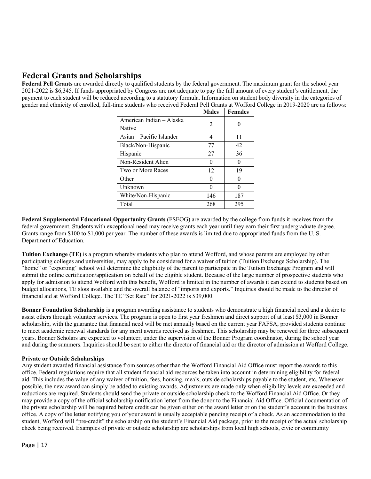# **Federal Grants and Scholarships**

**Federal Pell Grants** are awarded directly to qualified students by the federal government. The maximum grant for the school year 2021-2022 is \$6,345. If funds appropriated by Congress are not adequate to pay the full amount of every student's entitlement, the payment to each student will be reduced according to a statutory formula. Information on student body diversity in the categories of gender and ethnicity of enrolled, full-time students who received Federal Pell Grants at Wofford College in 2019-2020 are as follows:

|                          | <b>Males</b>   | <b>Females</b> |
|--------------------------|----------------|----------------|
| American Indian - Alaska | $\mathfrak{D}$ |                |
| Native                   |                |                |
| Asian – Pacific Islander |                | 11             |
| Black/Non-Hispanic       | 77             | 42             |
| Hispanic                 | 27             | 36             |
| Non-Resident Alien       | 0              |                |
| Two or More Races        | 12             | 19             |
| Other                    |                |                |
| Unknown                  |                |                |
| White/Non-Hispanic       | 146            | 187            |
| Total                    | 268            | 295            |

**Federal Supplemental Educational Opportunity Grants** (FSEOG) are awarded by the college from funds it receives from the federal government. Students with exceptional need may receive grants each year until they earn their first undergraduate degree. Grants range from \$100 to \$1,000 per year. The number of these awards is limited due to appropriated funds from the U. S. Department of Education.

**Tuition Exchange (TE)** is a program whereby students who plan to attend Wofford, and whose parents are employed by other participating colleges and universities, may apply to be considered for a waiver of tuition (Tuition Exchange Scholarship). The "home" or "exporting" school will determine the eligibility of the parent to participate in the Tuition Exchange Program and will submit the online certification/application on behalf of the eligible student. Because of the large number of prospective students who apply for admission to attend Wofford with this benefit, Wofford is limited in the number of awards it can extend to students based on budget allocations, TE slots available and the overall balance of "imports and exports." Inquiries should be made to the director of financial aid at Wofford College. The TE "Set Rate" for 2021-2022 is \$39,000.

**Bonner Foundation Scholarship** is a program awarding assistance to students who demonstrate a high financial need and a desire to assist others through volunteer services. The program is open to first year freshmen and direct support of at least \$3,000 in Bonner scholarship, with the guarantee that financial need will be met annually based on the current year FAFSA, provided students continue to meet academic renewal standards for any merit awards received as freshmen. This scholarship may be renewed for three subsequent years. Bonner Scholars are expected to volunteer, under the supervision of the Bonner Program coordinator, during the school year and during the summers. Inquiries should be sent to either the director of financial aid or the director of admission at Wofford College.

## **Private or Outside Scholarships**

Any student awarded financial assistance from sources other than the Wofford Financial Aid Office must report the awards to this office. Federal regulations require that all student financial aid resources be taken into account in determining eligibility for federal aid. This includes the value of any waiver of tuition, fees, housing, meals, outside scholarships payable to the student, etc. Whenever possible, the new award can simply be added to existing awards. Adjustments are made only when eligibility levels are exceeded and reductions are required. Students should send the private or outside scholarship check to the Wofford Financial Aid Office. Or they may provide a copy of the official scholarship notification letter from the donor to the Financial Aid Office. Official documentation of the private scholarship will be required before credit can be given either on the award letter or on the student's account in the business office. A copy of the letter notifying you of your award is usually acceptable pending receipt of a check. As an accommodation to the student, Wofford will "pre-credit" the scholarship on the student's Financial Aid package, prior to the receipt of the actual scholarship check being received. Examples of private or outside scholarship are scholarships from local high schools, civic or community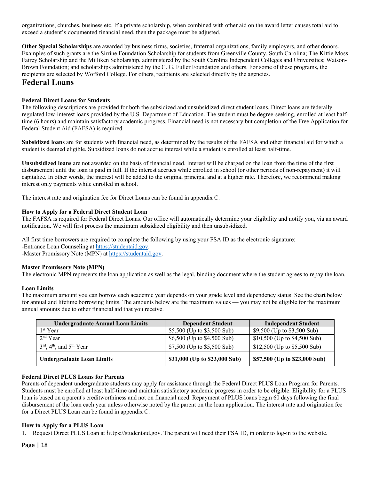organizations, churches, business etc. If a private scholarship, when combined with other aid on the award letter causes total aid to exceed a student's documented financial need, then the package must be adjusted.

**Other Special Scholarships** are awarded by business firms, societies, fraternal organizations, family employers, and other donors. Examples of such grants are the Sirrine Foundation Scholarship for students from Greenville County, South Carolina; The Kittie Moss Fairey Scholarship and the Milliken Scholarship, administered by the South Carolina Independent Colleges and Universities; Watson-Brown Foundation; and scholarships administered by the C. G. Fuller Foundation and others. For some of these programs, the recipients are selected by Wofford College. For others, recipients are selected directly by the agencies.

## **Federal Loans**

## **Federal Direct Loans for Students**

The following descriptions are provided for both the subsidized and unsubsidized direct student loans. Direct loans are federally regulated low-interest loans provided by the U.S. Department of Education. The student must be degree-seeking, enrolled at least halftime (6 hours) and maintain satisfactory academic progress. Financial need is not necessary but completion of the Free Application for Federal Student Aid (FAFSA) is required.

**Subsidized loans** are for students with financial need, as determined by the results of the FAFSA and other financial aid for which a student is deemed eligible. Subsidized loans do not accrue interest while a student is enrolled at least half-time.

**Unsubsidized loans** are not awarded on the basis of financial need. Interest will be charged on the loan from the time of the first disbursement until the loan is paid in full. If the interest accrues while enrolled in school (or other periods of non-repayment) it will capitalize. In other words, the interest will be added to the original principal and at a higher rate. Therefore, we recommend making interest only payments while enrolled in school.

The interest rate and origination fee for Direct Loans can be found in appendix C.

## **How to Apply for a Federal Direct Student Loan**

The FAFSA is required for Federal Direct Loans. Our office will automatically determine your eligibility and notify you, via an award notification. We will first process the maximum subsidized eligibility and then unsubsidized.

All first time borrowers are required to complete the following by using your FSA ID as the electronic signature: -Entrance Loan Counseling at https://studentaid.gov. -Master Promissory Note (MPN) at https://studentaid.gov.

## **Master Promissory Note (MPN)**

The electronic MPN represents the loan application as well as the legal, binding document where the student agrees to repay the loan.

## **Loan Limits**

The maximum amount you can borrow each academic year depends on your grade level and dependency status. See the chart below for annual and lifetime borrowing limits. The amounts below are the maximum values — you may not be eligible for the maximum annual amounts due to other financial aid that you receive.

| <b>Undergraduate Annual Loan Limits</b>                      | <b>Dependent Student</b>      | <b>Independent Student</b>     |
|--------------------------------------------------------------|-------------------------------|--------------------------------|
| 1 <sup>st</sup> Year                                         | \$5,500 (Up to \$3,500 Sub)   | \$9,500 (Up to \$3,500 Sub)    |
| $2nd$ Year                                                   | \$6,500 (Up to \$4,500 Sub)   | $$10,500$ (Up to $$4,500$ Sub) |
| $3^{\text{rd}}$ , 4 <sup>th</sup> , and 5 <sup>th</sup> Year | $$7,500$ (Up to $$5,500$ Sub) | $$12,500$ (Up to $$5,500$ Sub) |
| <b>Undergraduate Loan Limits</b>                             | \$31,000 (Up to \$23,000 Sub) | \$57,500 (Up to \$23,000 Sub)  |

## **Federal Direct PLUS Loans for Parents**

Parents of dependent undergraduate students may apply for assistance through the Federal Direct PLUS Loan Program for Parents. Students must be enrolled at least half-time and maintain satisfactory academic progress in order to be eligible. Eligibility for a PLUS loan is based on a parent's creditworthiness and not on financial need. Repayment of PLUS loans begin 60 days following the final disbursement of the loan each year unless otherwise noted by the parent on the loan application. The interest rate and origination fee for a Direct PLUS Loan can be found in appendix C.

## **How to Apply for a PLUS Loan**

Request Direct PLUS Loan at https://studentaid.gov. The parent will need their FSA ID, in order to log-in to the website.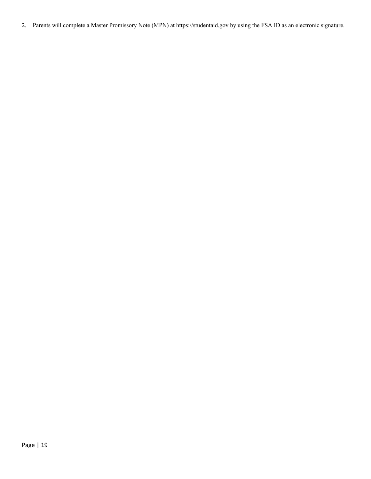2. Parents will complete a Master Promissory Note (MPN) at https://studentaid.gov by using the FSA ID as an electronic signature.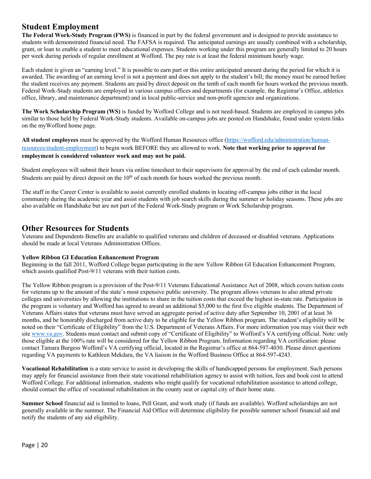## **Student Employment**

**The Federal Work-Study Program (FWS)** is financed in part by the federal government and is designed to provide assistance to students with demonstrated financial need. The FAFSA is required. The anticipated earnings are usually combined with a scholarship, grant, or loan to enable a student to meet educational expenses. Students working under this program are generally limited to 20 hours per week during periods of regular enrollment at Wofford. The pay rate is at least the federal minimum hourly wage.

Each student is given an "earning level." It is possible to earn part or this entire anticipated amount during the period for which it is awarded. The awarding of an earning level is not a payment and does not apply to the student's bill; the money must be earned before the student receives any payment. Students are paid by direct deposit on the tenth of each month for hours worked the previous month. Federal Work-Study students are employed in various campus offices and departments (for example, the Registrar's Office, athletics office, library, and maintenance department) and in local public-service and non-profit agencies and organizations.

**The Work Scholarship Program (WS)** is funded by Wofford College and is not need-based. Students are employed in campus jobs similar to those held by Federal Work-Study students. Available on-campus jobs are posted on Handshake, found under system links on the myWofford home page.

**All student employees** must be approved by the Wofford Human Resources office (https://wofford.edu/administration/humanresources/student-employment) to begin work BEFORE they are allowed to work. **Note that working prior to approval for employment is considered volunteer work and may not be paid.** 

Student employees will submit their hours via online timesheet to their supervisors for approval by the end of each calendar month. Students are paid by direct deposit on the  $10<sup>th</sup>$  of each month for hours worked the previous month.

The staff in the Career Center is available to assist currently enrolled students in locating off-campus jobs either in the local community during the academic year and assist students with job search skills during the summer or holiday seasons. These jobs are also available on Handshake but are not part of the Federal Work-Study program or Work Scholarship program.

## **Other Resources for Students**

Veterans and Dependents Benefits are available to qualified veterans and children of deceased or disabled veterans. Applications should be made at local Veterans Administration Offices.

## **Yellow Ribbon GI Education Enhancement Program**

Beginning in the fall 2011, Wofford College began participating in the new Yellow Ribbon GI Education Enhancement Program, which assists qualified Post-9/11 veterans with their tuition costs.

The Yellow Ribbon program is a provision of the Post-9/11 Veterans Educational Assistance Act of 2008, which covers tuition costs for veterans up to the amount of the state's most expensive public university. The program allows veterans to also attend private colleges and universities by allowing the institutions to share in the tuition costs that exceed the highest in-state rate. Participation in the program is voluntary and Wofford has agreed to award an additional \$5,000 to the first five eligible students. The Department of Veterans Affairs states that veterans must have served an aggregate period of active duty after September 10, 2001 of at least 36 months, and be honorably discharged from active duty to be eligible for the Yellow Ribbon program. The student's eligibility will be noted on their "Certificate of Eligibility" from the U.S. Department of Veterans Affairs. For more information you may visit their web site www.va.gov. Students must contact and submit copy of "Certificate of Eligibility" to Wofford's VA certifying official. Note: only those eligible at the 100% rate will be considered for the Yellow Ribbon Program. Information regarding VA certification: please contact Tamara Burgess Wofford's VA certifying official, located in the Registrar's office at 864-597-4030. Please direct questions regarding VA payments to Kathleen Mekdara, the VA liaison in the Wofford Business Office at 864-597-4243.

**Vocational Rehabilitation** is a state service to assist in developing the skills of handicapped persons for employment. Such persons may apply for financial assistance from their state vocational rehabilitation agency to assist with tuition, fees and book cost to attend Wofford College. For additional information, students who might qualify for vocational rehabilitation assistance to attend college, should contact the office of vocational rehabilitation in the county seat or capital city of their home state.

**Summer School** financial aid is limited to loans, Pell Grant, and work study (if funds are available). Wofford scholarships are not generally available in the summer. The Financial Aid Office will determine eligibility for possible summer school financial aid and notify the students of any aid eligibility.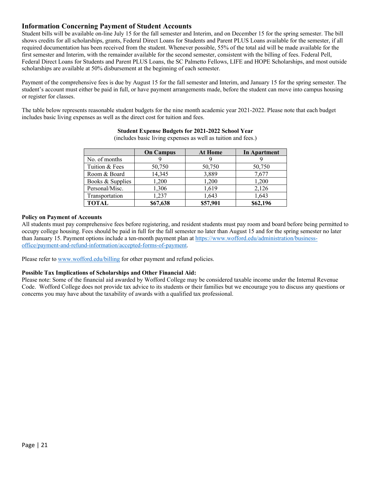## **Information Concerning Payment of Student Accounts**

Student bills will be available on-line July 15 for the fall semester and Interim, and on December 15 for the spring semester. The bill shows credits for all scholarships, grants, Federal Direct Loans for Students and Parent PLUS Loans available for the semester, if all required documentation has been received from the student. Whenever possible, 55% of the total aid will be made available for the first semester and Interim, with the remainder available for the second semester, consistent with the billing of fees. Federal Pell, Federal Direct Loans for Students and Parent PLUS Loans, the SC Palmetto Fellows, LIFE and HOPE Scholarships, and most outside scholarships are available at 50% disbursement at the beginning of each semester.

Payment of the comprehensive fees is due by August 15 for the fall semester and Interim, and January 15 for the spring semester. The student's account must either be paid in full, or have payment arrangements made, before the student can move into campus housing or register for classes.

The table below represents reasonable student budgets for the nine month academic year 2021-2022. Please note that each budget includes basic living expenses as well as the direct cost for tuition and fees.

|                  | <b>On Campus</b> | <b>At Home</b> | In Apartment |
|------------------|------------------|----------------|--------------|
| No. of months    |                  |                |              |
| Tuition & Fees   | 50,750           | 50,750         | 50,750       |
| Room & Board     | 14,345           | 3,889          | 7,677        |
| Books & Supplies | 1,200            | 1,200          | 1,200        |
| Personal/Misc.   | 1,306            | 1,619          | 2,126        |
| Transportation   | 1,237            | 1,643          | 1,643        |
| <b>TOTAL</b>     | \$67,638         | \$57,901       | \$62,196     |

## **Student Expense Budgets for 2021-2022 School Year**

(includes basic living expenses as well as tuition and fees.)

## **Policy on Payment of Accounts**

All students must pay comprehensive fees before registering, and resident students must pay room and board before being permitted to occupy college housing. Fees should be paid in full for the fall semester no later than August 15 and for the spring semester no later than January 15. Payment options include a ten-month payment plan at https://www.wofford.edu/administration/businessoffice/payment-and-refund-information/accepted-forms-of-payment.

Please refer to www.wofford.edu/billing for other payment and refund policies.

## **Possible Tax Implications of Scholarships and Other Financial Aid:**

Please note: Some of the financial aid awarded by Wofford College may be considered taxable income under the Internal Revenue Code. Wofford College does not provide tax advice to its students or their families but we encourage you to discuss any questions or concerns you may have about the taxability of awards with a qualified tax professional.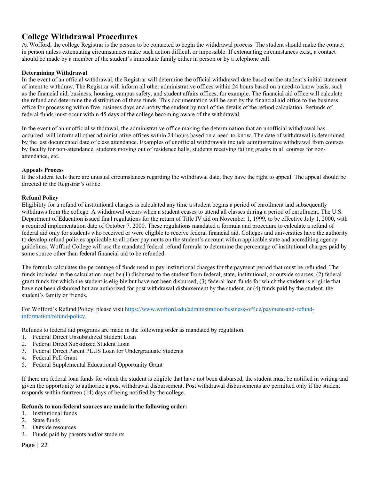# **College Withdrawal Procedures**

At Wofford, the college Registrar is the person to be contacted to begin the withdrawal process. The student should make the contact in person unless extenuating circumstances make such action difficult or impossible. If extenuating circumstances exist, a contact should be made by a member of the student's immediate family either in person or by a telephone call.

## **Determining Withdrawal**

In the event of an official withdrawal, the Registrar will determine the official withdrawal date based on the student's initial statement of intent to withdraw. The Registrar will inform all other administrative offices within 24 hours based on a need-to know basis, such as the financial aid, business, housing, campus safety, and student affairs offices, for example. The financial aid office will calculate the refund and determine the distribution of these funds. This documentation will be sent by the financial aid office to the business office for processing within five business days and notify the student by mail of the details of the refund calculation. Refunds of federal funds must occur within 45 days of the college becoming aware of the withdrawal.

In the event of an unofficial withdrawal, the administrative office making the determination that an unofficial withdrawal has occurred, will inform all other administrative offices within 24 hours based on a need-to-know. The date of withdrawal is determined by the last documented date of class attendance. Examples of unofficial withdrawals include administrative withdrawal from courses by faculty for non-attendance, students moving out of residence halls, students receiving failing grades in all courses for nonattendance, etc.

## **Appeals Process**

If the student feels there are unusual circumstances regarding the withdrawal date, they have the right to appeal. The appeal should be directed to the Registrar's office

## **Refund Policy**

Eligibility for a refund of institutional charges is calculated any time a student begins a period of enrollment and subsequently withdraws from the college. A withdrawal occurs when a student ceases to attend all classes during a period of enrollment. The U.S. Department of Education issued final regulations for the return of Title IV aid on November 1, 1999, to be effective July 1, 2000, with a required implementation date of October 7, 2000. These regulations mandated a formula and procedure to calculate a refund of federal aid only for students who received or were eligible to receive federal financial aid. Colleges and universities have the authority to develop refund policies applicable to all other payments on the student's account within applicable state and accrediting agency guidelines. Wofford College will use the mandated federal refund formula to determine the percentage of institutional charges paid by some source other than federal financial aid to be refunded.

The formula calculates the percentage of funds used to pay institutional charges for the payment period that must be refunded. The funds included in the calculation must be (1) disbursed to the student from federal, state, institutional, or outside sources, (2) federal grant funds for which the student is eligible but have not been disbursed, (3) federal loan funds for which the student is eligible that have not been disbursed but are authorized for post withdrawal disbursement by the student, or (4) funds paid by the student, the student's family or friends.

For Wofford's Refund Policy, please visit https://www.wofford.edu/administration/business-office/payment-and-refundinformation/refund-policy.

Refunds to federal aid programs are made in the following order as mandated by regulation.

- 1. Federal Direct Unsubsidized Student Loan
- 2. Federal Direct Subsidized Student Loan
- 3. Federal Direct Parent PLUS Loan for Undergraduate Students
- 4. Federal Pell Grant
- 5. Federal Supplemental Educational Opportunity Grant

If there are federal loan funds for which the student is eligible that have not been disbursed, the student must be notified in writing and given the opportunity to authorize a post withdrawal disbursement. Post withdrawal disbursements are permitted only if the student responds within fourteen (14) days of being notified by the college.

## **Refunds to non-federal sources are made in the following order:**

- 1. Institutional funds
- 2. State funds
- 3. Outside resources
- 4. Funds paid by parents and/or students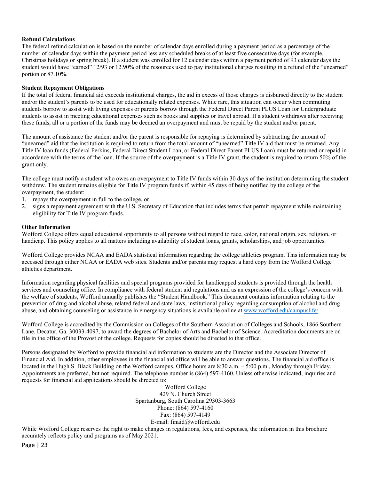## **Refund Calculations**

The federal refund calculation is based on the number of calendar days enrolled during a payment period as a percentage of the number of calendar days within the payment period less any scheduled breaks of at least five consecutive days (for example, Christmas holidays or spring break). If a student was enrolled for 12 calendar days within a payment period of 93 calendar days the student would have "earned" 12/93 or 12.90% of the resources used to pay institutional charges resulting in a refund of the "unearned" portion or 87.10%.

## **Student Repayment Obligations**

If the total of federal financial aid exceeds institutional charges, the aid in excess of those charges is disbursed directly to the student and/or the student's parents to be used for educationally related expenses. While rare, this situation can occur when commuting students borrow to assist with living expenses or parents borrow through the Federal Direct Parent PLUS Loan for Undergraduate students to assist in meeting educational expenses such as books and supplies or travel abroad. If a student withdraws after receiving these funds, all or a portion of the funds may be deemed an overpayment and must be repaid by the student and/or parent.

The amount of assistance the student and/or the parent is responsible for repaying is determined by subtracting the amount of "unearned" aid that the institution is required to return from the total amount of "unearned" Title IV aid that must be returned. Any Title IV loan funds (Federal Perkins, Federal Direct Student Loan, or Federal Direct Parent PLUS Loan) must be returned or repaid in accordance with the terms of the loan. If the source of the overpayment is a Title IV grant, the student is required to return 50% of the grant only.

The college must notify a student who owes an overpayment to Title IV funds within 30 days of the institution determining the student withdrew. The student remains eligible for Title IV program funds if, within 45 days of being notified by the college of the overpayment, the student:

- 1. repays the overpayment in full to the college, or
- 2. signs a repayment agreement with the U.S. Secretary of Education that includes terms that permit repayment while maintaining eligibility for Title IV program funds.

## **Other Information**

Wofford College offers equal educational opportunity to all persons without regard to race, color, national origin, sex, religion, or handicap. This policy applies to all matters including availability of student loans, grants, scholarships, and job opportunities.

Wofford College provides NCAA and EADA statistical information regarding the college athletics program. This information may be accessed through either NCAA or EADA web sites. Students and/or parents may request a hard copy from the Wofford College athletics department.

Information regarding physical facilities and special programs provided for handicapped students is provided through the health services and counseling office. In compliance with federal student aid regulations and as an expression of the college's concern with the welfare of students, Wofford annually publishes the "Student Handbook." This document contains information relating to the prevention of drug and alcohol abuse, related federal and state laws, institutional policy regarding consumption of alcohol and drug abuse, and obtaining counseling or assistance in emergency situations is available online at www.wofford.edu/campuslife/.

Wofford College is accredited by the Commission on Colleges of the Southern Association of Colleges and Schools, 1866 Southern Lane, Decatur, Ga. 30033-4097, to award the degrees of Bachelor of Arts and Bachelor of Science. Accreditation documents are on file in the office of the Provost of the college. Requests for copies should be directed to that office.

Persons designated by Wofford to provide financial aid information to students are the Director and the Associate Director of Financial Aid. In addition, other employees in the financial aid office will be able to answer questions. The financial aid office is located in the Hugh S. Black Building on the Wofford campus. Office hours are 8:30 a.m. – 5:00 p.m., Monday through Friday. Appointments are preferred, but not required. The telephone number is (864) 597-4160. Unless otherwise indicated, inquiries and requests for financial aid applications should be directed to:

> Wofford College 429 N. Church Street Spartanburg, South Carolina 29303-3663 Phone: (864) 597-4160 Fax: (864) 597-4149 E-mail: finaid@wofford.edu

While Wofford College reserves the right to make changes in regulations, fees, and expenses, the information in this brochure accurately reflects policy and programs as of May 2021.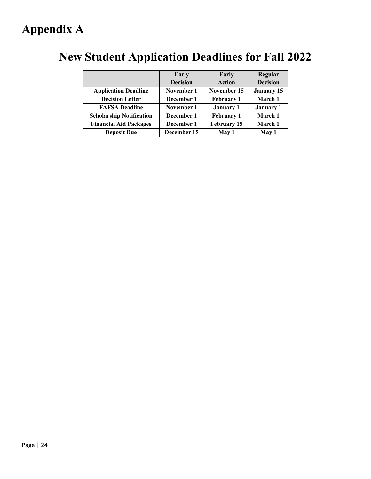# **Appendix A**

|                                 | Early           | Early             | Regular           |
|---------------------------------|-----------------|-------------------|-------------------|
|                                 | <b>Decision</b> | <b>Action</b>     | <b>Decision</b>   |
| <b>Application Deadline</b>     | November 1      | November 15       | <b>January 15</b> |
| <b>Decision Letter</b>          | December 1      | <b>February 1</b> | March 1           |
| <b>FAFSA Deadline</b>           | November 1      | <b>January 1</b>  | <b>January 1</b>  |
| <b>Scholarship Notification</b> | December 1      | <b>February 1</b> | March 1           |
| <b>Financial Aid Packages</b>   | December 1      | February 15       | March 1           |
| <b>Deposit Due</b>              | December 15     | May 1             | May 1             |

# **New Student Application Deadlines for Fall 2022**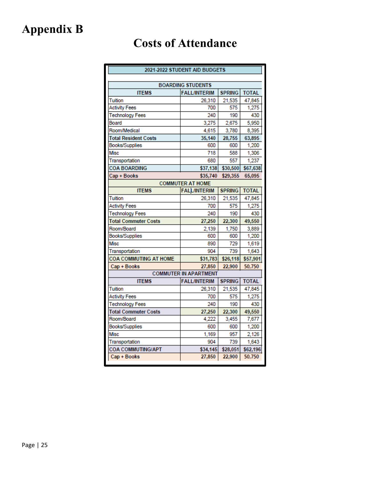# **Appendix B**

# **Costs of Attendance**

| 2021-2022 STUDENT AID BUDGETS                                        |                              |               |              |  |  |  |  |  |  |
|----------------------------------------------------------------------|------------------------------|---------------|--------------|--|--|--|--|--|--|
|                                                                      |                              |               |              |  |  |  |  |  |  |
|                                                                      | <b>BOARDING STUDENTS</b>     |               |              |  |  |  |  |  |  |
| <b>ITEMS</b><br><b>FALL/INTERIM</b><br><b>TOTAL</b><br><b>SPRING</b> |                              |               |              |  |  |  |  |  |  |
| Tuition                                                              | 26,310<br>700                | 21,535<br>575 | 47,845       |  |  |  |  |  |  |
| <b>Activity Fees</b>                                                 | 1,275<br>430                 |               |              |  |  |  |  |  |  |
| 240<br>190<br><b>Technology Fees</b>                                 |                              |               |              |  |  |  |  |  |  |
| Board                                                                | 3,275<br>2,675<br>5,950      |               |              |  |  |  |  |  |  |
| Room/Medical                                                         | 4,615                        | 3,780         | 8,395        |  |  |  |  |  |  |
| <b>Total Resident Costs</b>                                          | 35,140                       | 28,755        | 63,895       |  |  |  |  |  |  |
| Books/Supplies                                                       | 600                          | 600           | 1,200        |  |  |  |  |  |  |
| Misc                                                                 | 718                          | 588           | 1,306        |  |  |  |  |  |  |
| Transportation                                                       | 680                          | 557           | 1,237        |  |  |  |  |  |  |
| <b>COA BOARDING</b>                                                  | \$37,138                     | \$30,500      | \$67,638     |  |  |  |  |  |  |
| Cap + Books                                                          | \$35,740                     | \$29,355      | 65,095       |  |  |  |  |  |  |
|                                                                      | <b>COMMUTER AT HOME</b>      |               |              |  |  |  |  |  |  |
| <b>ITEMS</b>                                                         | <b>FALL/INTERIM</b>          | <b>SPRING</b> | <b>TOTAL</b> |  |  |  |  |  |  |
| Tuition                                                              | 26,310                       | 21,535        | 47,845       |  |  |  |  |  |  |
| <b>Activity Fees</b>                                                 | 700                          | 575           | 1,275        |  |  |  |  |  |  |
| <b>Technology Fees</b>                                               | 190<br>240                   |               | 430          |  |  |  |  |  |  |
| <b>Total Commuter Costs</b>                                          | 27,250<br>22,300             |               | 49,550       |  |  |  |  |  |  |
| Room/Board                                                           | 2,139<br>1,750               |               | 3,889        |  |  |  |  |  |  |
| Books/Supplies                                                       | 600                          | 600           | 1,200        |  |  |  |  |  |  |
| Misc                                                                 | 890                          | 729           | 1,619        |  |  |  |  |  |  |
| Transportation                                                       | 904                          | 739           | 1,643        |  |  |  |  |  |  |
| <b>COA COMMUTING AT HOME</b>                                         | \$31,783<br>\$26,118         |               | \$57,901     |  |  |  |  |  |  |
| Cap + Books                                                          | 27,850                       | 22,900        | 50,750       |  |  |  |  |  |  |
|                                                                      | <b>COMMUTER IN APARTMENT</b> |               |              |  |  |  |  |  |  |
| <b>ITEMS</b>                                                         | <b>FALL/INTERIM</b>          | <b>SPRING</b> | <b>TOTAL</b> |  |  |  |  |  |  |
| Tuition                                                              | 26,310                       | 21,535        | 47,845       |  |  |  |  |  |  |
| <b>Activity Fees</b>                                                 | 700                          | 575           | 1,275        |  |  |  |  |  |  |
| <b>Technology Fees</b>                                               | 240                          | 190           | 430          |  |  |  |  |  |  |
| <b>Total Commuter Costs</b>                                          | 27,250                       | 22,300        | 49,550       |  |  |  |  |  |  |
| Room/Board                                                           | 4,222                        | 3,455         | 7,677        |  |  |  |  |  |  |
| Books/Supplies                                                       | 600                          | 600           | 1,200        |  |  |  |  |  |  |
| Misc                                                                 | 1,169                        | 957           | 2,126        |  |  |  |  |  |  |
| Transportation                                                       | 904                          | 739           | 1,643        |  |  |  |  |  |  |
| <b>COA COMMUTING/APT</b><br>\$34,145<br>\$28,051<br>\$62,196         |                              |               |              |  |  |  |  |  |  |
| Cap + Books                                                          | 27,850                       | 22,900        | 50,750       |  |  |  |  |  |  |